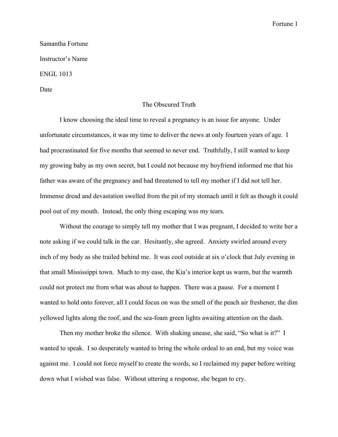Fortune 1

Samantha Fortune Instructor's Name ENGL 1013 Date

## The Obscured Truth

I know choosing the ideal time to reveal a pregnancy is an issue for anyone. Under unfortunate circumstances, it was my time to deliver the news at only fourteen years of age. I had procrastinated for five months that seemed to never end. Truthfully, I still wanted to keep my growing baby as my own secret, but I could not because my boyfriend informed me that his father was aware of the pregnancy and had threatened to tell my mother if I did not tell her. Immense dread and devastation swelled from the pit of my stomach until it felt as though it could pool out of my mouth. Instead, the only thing escaping was my tears.

Without the courage to simply tell my mother that I was pregnant, I decided to write her a note asking if we could talk in the car. Hesitantly, she agreed. Anxiety swirled around every inch of my body as she trailed behind me. It was cool outside at six o'clock that July evening in that small Mississippi town. Much to my ease, the Kia's interior kept us warm, but the warmth could not protect me from what was about to happen. There was a pause. For a moment I wanted to hold onto forever, all I could focus on was the smell of the peach air freshener, the dim yellowed lights along the roof, and the sea-foam green lights awaiting attention on the dash.

Then my mother broke the silence. With shaking unease, she said, "So what is it?" I wanted to speak. I so desperately wanted to bring the whole ordeal to an end, but my voice was against me. I could not force myself to create the words, so I reclaimed my paper before writing down what I wished was false. Without uttering a response, she began to cry.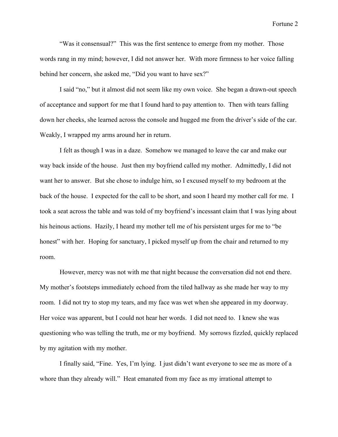Fortune 2

"Was it consensual?" This was the first sentence to emerge from my mother. Those words rang in my mind; however, I did not answer her. With more firmness to her voice falling behind her concern, she asked me, "Did you want to have sex?"

I said "no," but it almost did not seem like my own voice. She began a drawn-out speech of acceptance and support for me that I found hard to pay attention to. Then with tears falling down her cheeks, she learned across the console and hugged me from the driver's side of the car. Weakly, I wrapped my arms around her in return.

I felt as though I was in a daze. Somehow we managed to leave the car and make our way back inside of the house. Just then my boyfriend called my mother. Admittedly, I did not want her to answer. But she chose to indulge him, so I excused myself to my bedroom at the back of the house. I expected for the call to be short, and soon I heard my mother call for me. I took a seat across the table and was told of my boyfriend's incessant claim that I was lying about his heinous actions. Hazily, I heard my mother tell me of his persistent urges for me to "be honest" with her. Hoping for sanctuary, I picked myself up from the chair and returned to my room.

However, mercy was not with me that night because the conversation did not end there. My mother's footsteps immediately echoed from the tiled hallway as she made her way to my room. I did not try to stop my tears, and my face was wet when she appeared in my doorway. Her voice was apparent, but I could not hear her words. I did not need to. I knew she was questioning who was telling the truth, me or my boyfriend. My sorrows fizzled, quickly replaced by my agitation with my mother.

I finally said, "Fine. Yes, I'm lying. I just didn't want everyone to see me as more of a whore than they already will." Heat emanated from my face as my irrational attempt to